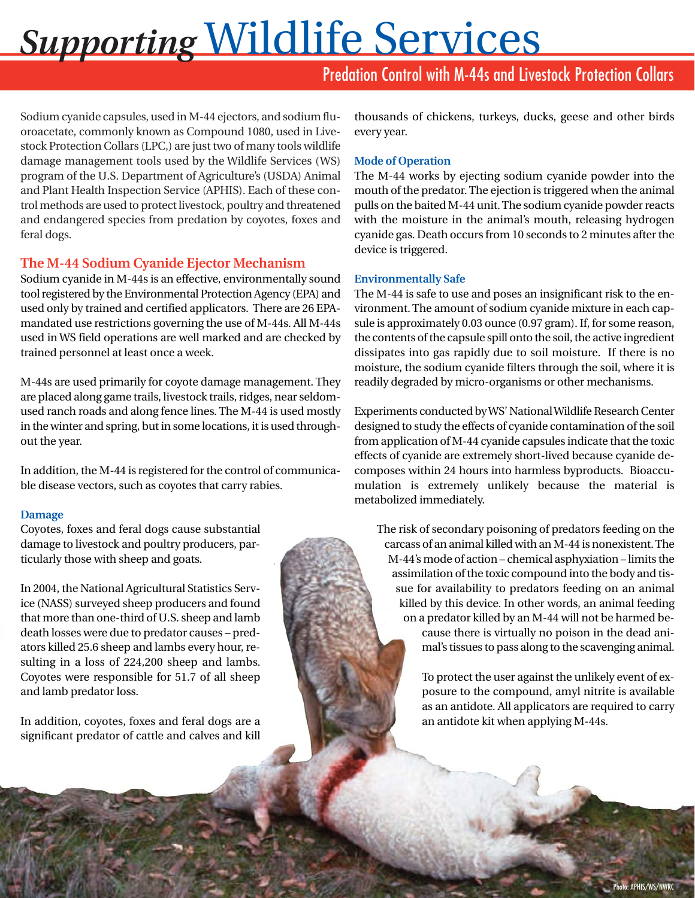# *Supporting* Wildlife Services

# Predation Control with M-44s and Livestock Protection Collars

Sodium cyanide capsules, used in M-44 ejectors, and sodium fluoroacetate, commonly known as Compound 1080, used in Livestock Protection Collars (LPC,) are just two of many tools wildlife damage management tools used by the Wildlife Services (WS) program of the U.S. Department of Agriculture's (USDA) Animal and Plant Health Inspection Service (APHIS). Each of these control methods are used to protect livestock, poultry and threatened and endangered species from predation by coyotes, foxes and feral dogs.

## **The M-44 Sodium Cyanide Ejector Mechanism**

Sodium cyanide in M-44s is an effective, environmentally sound tool registered by the Environmental Protection Agency (EPA) and used only by trained and certified applicators. There are 26 EPAmandated use restrictions governing the use of M-44s. All M-44s used in WS field operations are well marked and are checked by trained personnel at least once a week.

M-44s are used primarily for coyote damage management. They are placed along game trails, livestock trails, ridges, near seldomused ranch roads and along fence lines. The M-44 is used mostly in the winter and spring, but in some locations, it is used throughout the year.

In addition, the M-44 is registered for the control of communicable disease vectors, such as coyotes that carry rabies.

#### **Damage**

Coyotes, foxes and feral dogs cause substantial damage to livestock and poultry producers, particularly those with sheep and goats.

In 2004, the National Agricultural Statistics Service (NASS) surveyed sheep producers and found that more than one-third of U.S. sheep and lamb death losses were due to predator causes – predators killed 25.6 sheep and lambs every hour, resulting in a loss of 224,200 sheep and lambs. Coyotes were responsible for 51.7 of all sheep and lamb predator loss.

In addition, coyotes, foxes and feral dogs are a significant predator of cattle and calves and kill thousands of chickens, turkeys, ducks, geese and other birds every year.

#### **Mode of Operation**

The M-44 works by ejecting sodium cyanide powder into the mouth of the predator. The ejection is triggered when the animal pulls on the baited M-44 unit. The sodium cyanide powder reacts with the moisture in the animal's mouth, releasing hydrogen cyanide gas. Death occurs from 10 seconds to 2 minutes after the device is triggered.

#### **Environmentally Safe**

The M-44 is safe to use and poses an insignificant risk to the environment. The amount of sodium cyanide mixture in each capsule is approximately 0.03 ounce (0.97 gram). If, for some reason, the contents of the capsule spill onto the soil, the active ingredient dissipates into gas rapidly due to soil moisture. If there is no moisture, the sodium cyanide filters through the soil, where it is readily degraded by micro-organisms or other mechanisms.

Experiments conducted by WS' National Wildlife Research Center designed to study the effects of cyanide contamination of the soil from application of M-44 cyanide capsules indicate that the toxic effects of cyanide are extremely short-lived because cyanide decomposes within 24 hours into harmless byproducts. Bioaccumulation is extremely unlikely because the material is metabolized immediately.

The risk of secondary poisoning of predators feeding on the carcass of an animal killed with an M-44 is nonexistent. The M-44's mode of action – chemical asphyxiation – limits the assimilation of the toxic compound into the body and tissue for availability to predators feeding on an animal killed by this device. In other words, an animal feeding on a predator killed by an M-44 will not be harmed because there is virtually no poison in the dead animal's tissues to pass along to the scavenging animal.

> To protect the user against the unlikely event of exposure to the compound, amyl nitrite is available as an antidote. All applicators are required to carry an antidote kit when applying M-44s.